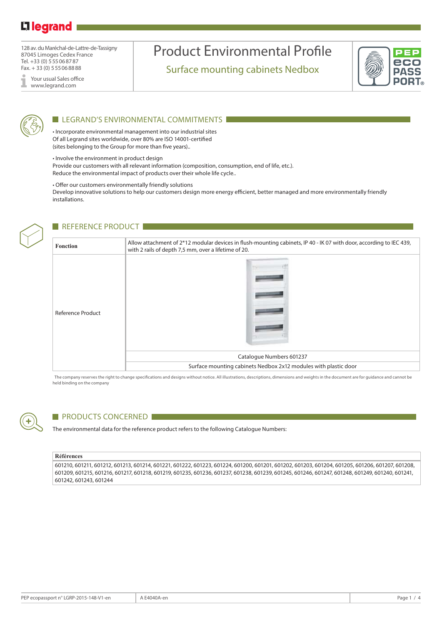### Li legrand

128 av. du Maréchal-de-Lattre-de-Tassigny 87045 Limoges Cedex France Tel. +33 (0) 555068787 Fax. + 33 (0) 555068888

Your usual Sales office I www.legrand.com

## Product Environmental Profile

Surface mounting cabinets Nedbox





#### LEGRAND'S ENVIRONMENTAL COMMITMENTS

• Incorporate environmental management into our industrial sites Of all Legrand sites worldwide, over 80% are ISO 14001-certified (sites belonging to the Group for more than five years)..

• Involve the environment in product design

Provide our customers with all relevant information (composition, consumption, end of life, etc.). Reduce the environmental impact of products over their whole life cycle..

• Offer our customers environmentally friendly solutions

Develop innovative solutions to help our customers design more energy efficient, better managed and more environmentally friendly installations.

#### REFERENCE PRODUCT

| <b>Fonction</b>          | Allow attachment of 2*12 modular devices in flush-mounting cabinets, IP 40 - IK 07 with door, according to IEC 439,<br>with 2 rails of depth 7,5 mm, over a lifetime of 20. |  |  |  |  |  |  |
|--------------------------|-----------------------------------------------------------------------------------------------------------------------------------------------------------------------------|--|--|--|--|--|--|
| <b>Reference Product</b> | Catalogue Numbers 601237                                                                                                                                                    |  |  |  |  |  |  |
|                          | Surface mounting cabinets Nedbox 2x12 modules with plastic door                                                                                                             |  |  |  |  |  |  |

The company reserves the right to change specifications and designs without notice. All illustrations, descriptions, dimensions and weights in the document are for guidance and cannot be held binding on the company



#### PRODUCTS CONCERNED

The environmental data for the reference product refers to the following Catalogue Numbers:

#### **Références**

601210, 601211, 601212, 601213, 601214, 601221, 601222, 601223, 601224, 601200, 601201, 601202, 601203, 601204, 601205, 601206, 601207, 601208, 601209, 601215, 601216, 601217, 601218, 601219, 601235, 601236, 601237, 601238, 601239, 601245, 601246, 601247, 601248, 601249, 601240, 601241, 601242, 601243, 601244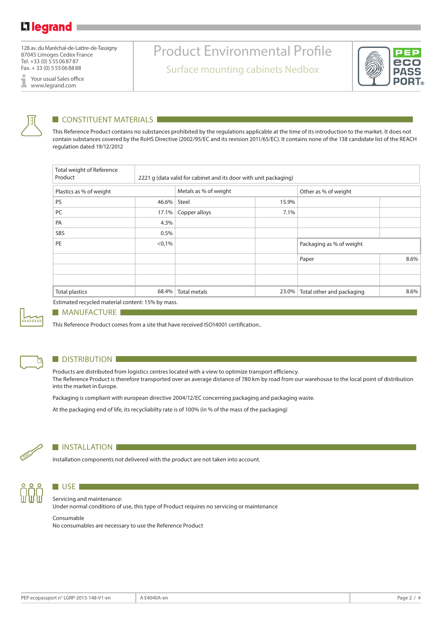128 av. du Maréchal-de-Lattre-de-Tassigny 87045 Limoges Cedex France Tel. +33 (0) 555068787 Fax. + 33 (0) 555068888

Your usual Sales office I www.legrand.com

# Product Environmental Profile

Surface mounting cabinets Nedbox





#### $\blacksquare$  CONSTITUENT MATERIALS  $\blacksquare$

This Reference Product contains no substances prohibited by the regulations applicable at the time of its introduction to the market. It does not contain substances covered by the RoHS Directive (2002/95/EC and its revision 2011/65/EC). It contains none of the 138 candidate list of the REACH regulation dated 19/12/2012

| Total weight of Reference<br>Product |        | 2221 g (data valid for cabinet and its door with unit packaging) |       |                           |      |  |  |
|--------------------------------------|--------|------------------------------------------------------------------|-------|---------------------------|------|--|--|
| Plastics as % of weight              |        | Metals as % of weight                                            |       | Other as % of weight      |      |  |  |
| PS                                   | 46.6%  | Steel                                                            | 15.9% |                           |      |  |  |
| PC                                   | 17.1%  | Copper alloys                                                    | 7.1%  |                           |      |  |  |
| PA                                   | 4.3%   |                                                                  |       |                           |      |  |  |
| SBS                                  | 0.5%   |                                                                  |       |                           |      |  |  |
| PE                                   | < 0,1% |                                                                  |       | Packaging as % of weight  |      |  |  |
|                                      |        |                                                                  |       | Paper                     | 8.6% |  |  |
|                                      |        |                                                                  |       |                           |      |  |  |
|                                      |        |                                                                  |       |                           |      |  |  |
| <b>Total plastics</b>                | 68.4%  | <b>Total metals</b>                                              | 23.0% | Total other and packaging | 8.6% |  |  |

Estimated recycled material content: 15% by mass.



#### **MANUFACTURE**

This Reference Product comes from a site that have received ISO14001 certification..



#### **DISTRIBUTION**

Products are distributed from logistics centres located with a view to optimize transport efficiency. The Reference Product is therefore transported over an average distance of 780 km by road from our warehouse to the local point of distribution into the market in Europe.

Packaging is compliant with european directive 2004/12/EC concerning packaging and packaging waste.

At the packaging end of life, its recycliabilty rate is of 100% (in % of the mass of the packaging)



#### **INSTALLATION**

Installation components not delivered with the product are not taken into account.



### Servicing and maintenance:

Under normal conditions of use, this type of Product requires no servicing or maintenance

#### Consumable

 $\blacksquare$  USE  $\blacksquare$ 

No consumables are necessary to use the Reference Product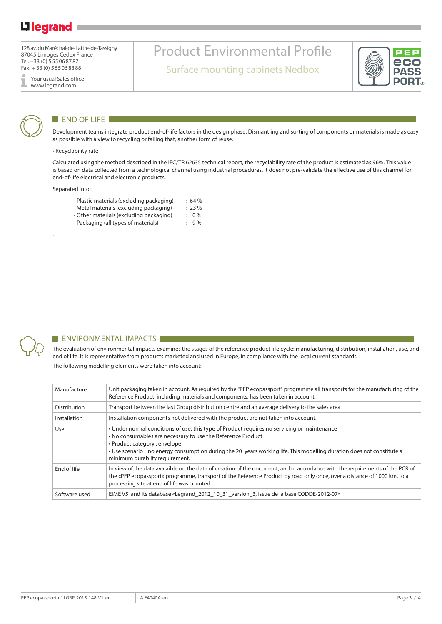### Li legrand

128 av. du Maréchal-de-Lattre-de-Tassigny 87045 Limoges Cedex France Tel. +33 (0) 555068787 Fax. + 33 (0) 555068888

Your usual Sales office I www.legrand.com



#### END OF LIFE

Development teams integrate product end-of-life factors in the design phase. Dismantling and sorting of components or materials is made as easy as possible with a view to recycling or failing that, another form of reuse.

Product Environmental Profile

Surface mounting cabinets Nedbox

#### • Recyclability rate

Calculated using the method described in the IEC/TR 62635 technical report, the recyclability rate of the product is estimated as 96%. This value is based on data collected from a technological channel using industrial procedures. It does not pre-validate the effective use of this channel for end-of-life electrical and electronic products.

Separated into:

.

- Plastic materials (excluding packaging) : 64 %<br>- Metal materials (excluding packaging) : 23 %
- Metal materials (excluding packaging)
- Other materials (excluding packaging) : 0 %
- Packaging (all types of materials) : 9%



#### **ENVIRONMENTAL IMPACTS**

The evaluation of environmental impacts examines the stages of the reference product life cycle: manufacturing, distribution, installation, use, and end of life. It is representative from products marketed and used in Europe, in compliance with the local current standards The following modelling elements were taken into account:

| Manufacture   | Unit packaging taken in account. As required by the "PEP ecopassport" programme all transports for the manufacturing of the<br>Reference Product, including materials and components, has been taken in account.                                                                                                                                        |
|---------------|---------------------------------------------------------------------------------------------------------------------------------------------------------------------------------------------------------------------------------------------------------------------------------------------------------------------------------------------------------|
| Distribution  | Transport between the last Group distribution centre and an average delivery to the sales area                                                                                                                                                                                                                                                          |
| Installation  | Installation components not delivered with the product are not taken into account.                                                                                                                                                                                                                                                                      |
| Use           | • Under normal conditions of use, this type of Product requires no servicing or maintenance<br>• No consumables are necessary to use the Reference Product<br>• Product category : envelope<br>• Use scenario : no energy consumption during the 20 years working life. This modelling duration does not constitute a<br>minimum durabilty requirement. |
| End of life   | In view of the data avalaible on the date of creation of the document, and in accordance with the requirements of the PCR of<br>the «PEP ecopassport» programme, transport of the Reference Product by road only once, over a distance of 1000 km, to a<br>processing site at end of life was counted.                                                  |
| Software used | EIME V5 and its database «Legrand_2012_10_31_version_3, issue de la base CODDE-2012-07»                                                                                                                                                                                                                                                                 |

DVC **POR**